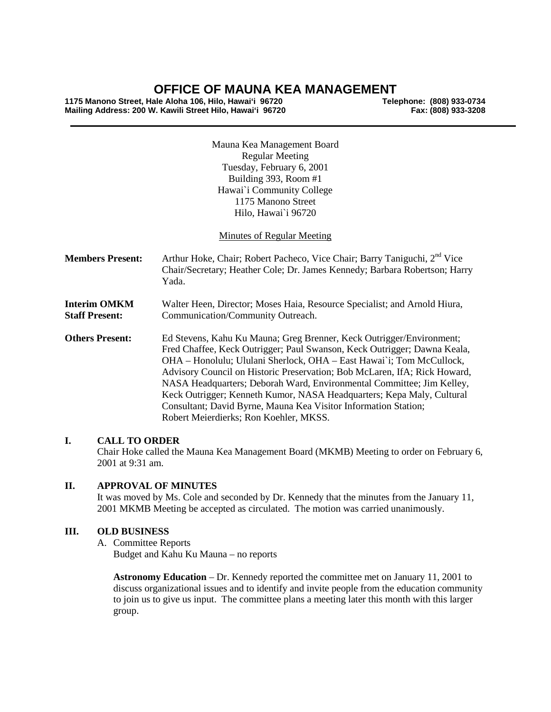# **OFFICE OF MAUNA KEA MANAGEMENT**

**1175 Manono Street, Hale Aloha 106, Hilo, Hawai'i 96720 Telephone: (808) 933-0734 Mailing Address: 200 W. Kawili Street Hilo, Hawai'i 96720** 

Mauna Kea Management Board Regular Meeting Tuesday, February 6, 2001 Building 393, Room #1 Hawai`i Community College 1175 Manono Street Hilo, Hawai`i 96720

Minutes of Regular Meeting

**Members Present:** Arthur Hoke, Chair; Robert Pacheco, Vice Chair; Barry Taniguchi, 2<sup>nd</sup> Vice Chair/Secretary; Heather Cole; Dr. James Kennedy; Barbara Robertson; Harry Yada.

**Interim OMKM** Walter Heen, Director; Moses Haia, Resource Specialist; and Arnold Hiura, **Staff Present:** Communication/Community Outreach. Communication/Community Outreach.

**Others Present:** Ed Stevens, Kahu Ku Mauna; Greg Brenner, Keck Outrigger/Environment; Fred Chaffee, Keck Outrigger; Paul Swanson, Keck Outrigger; Dawna Keala, OHA – Honolulu; Ululani Sherlock, OHA – East Hawai`i; Tom McCullock, Advisory Council on Historic Preservation; Bob McLaren, IfA; Rick Howard, NASA Headquarters; Deborah Ward, Environmental Committee; Jim Kelley, Keck Outrigger; Kenneth Kumor, NASA Headquarters; Kepa Maly, Cultural Consultant; David Byrne, Mauna Kea Visitor Information Station; Robert Meierdierks; Ron Koehler, MKSS.

## **I. CALL TO ORDER**

Chair Hoke called the Mauna Kea Management Board (MKMB) Meeting to order on February 6, 2001 at 9:31 am.

## **II. APPROVAL OF MINUTES**

It was moved by Ms. Cole and seconded by Dr. Kennedy that the minutes from the January 11, 2001 MKMB Meeting be accepted as circulated. The motion was carried unanimously.

#### **III. OLD BUSINESS**

A. Committee Reports

Budget and Kahu Ku Mauna – no reports

**Astronomy Education** – Dr. Kennedy reported the committee met on January 11, 2001 to discuss organizational issues and to identify and invite people from the education community to join us to give us input. The committee plans a meeting later this month with this larger group.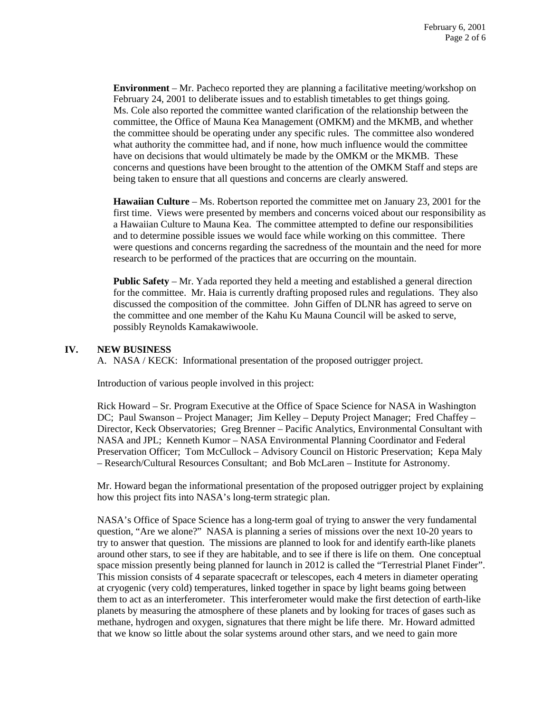**Environment** – Mr. Pacheco reported they are planning a facilitative meeting/workshop on February 24, 2001 to deliberate issues and to establish timetables to get things going. Ms. Cole also reported the committee wanted clarification of the relationship between the committee, the Office of Mauna Kea Management (OMKM) and the MKMB, and whether the committee should be operating under any specific rules. The committee also wondered what authority the committee had, and if none, how much influence would the committee have on decisions that would ultimately be made by the OMKM or the MKMB. These concerns and questions have been brought to the attention of the OMKM Staff and steps are being taken to ensure that all questions and concerns are clearly answered.

**Hawaiian Culture** – Ms. Robertson reported the committee met on January 23, 2001 for the first time. Views were presented by members and concerns voiced about our responsibility as a Hawaiian Culture to Mauna Kea. The committee attempted to define our responsibilities and to determine possible issues we would face while working on this committee. There were questions and concerns regarding the sacredness of the mountain and the need for more research to be performed of the practices that are occurring on the mountain.

**Public Safety** – Mr. Yada reported they held a meeting and established a general direction for the committee. Mr. Haia is currently drafting proposed rules and regulations. They also discussed the composition of the committee. John Giffen of DLNR has agreed to serve on the committee and one member of the Kahu Ku Mauna Council will be asked to serve, possibly Reynolds Kamakawiwoole.

## **IV. NEW BUSINESS**

A. NASA / KECK: Informational presentation of the proposed outrigger project.

Introduction of various people involved in this project:

Rick Howard – Sr. Program Executive at the Office of Space Science for NASA in Washington DC; Paul Swanson – Project Manager; Jim Kelley – Deputy Project Manager; Fred Chaffey – Director, Keck Observatories; Greg Brenner – Pacific Analytics, Environmental Consultant with NASA and JPL; Kenneth Kumor – NASA Environmental Planning Coordinator and Federal Preservation Officer; Tom McCullock – Advisory Council on Historic Preservation; Kepa Maly – Research/Cultural Resources Consultant; and Bob McLaren – Institute for Astronomy.

Mr. Howard began the informational presentation of the proposed outrigger project by explaining how this project fits into NASA's long-term strategic plan.

NASA's Office of Space Science has a long-term goal of trying to answer the very fundamental question, "Are we alone?" NASA is planning a series of missions over the next 10-20 years to try to answer that question. The missions are planned to look for and identify earth-like planets around other stars, to see if they are habitable, and to see if there is life on them. One conceptual space mission presently being planned for launch in 2012 is called the "Terrestrial Planet Finder". This mission consists of 4 separate spacecraft or telescopes, each 4 meters in diameter operating at cryogenic (very cold) temperatures, linked together in space by light beams going between them to act as an interferometer. This interferometer would make the first detection of earth-like planets by measuring the atmosphere of these planets and by looking for traces of gases such as methane, hydrogen and oxygen, signatures that there might be life there. Mr. Howard admitted that we know so little about the solar systems around other stars, and we need to gain more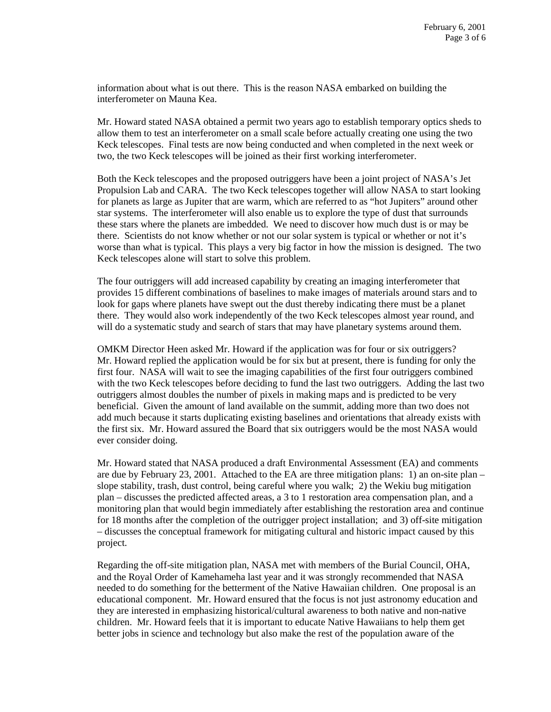information about what is out there. This is the reason NASA embarked on building the interferometer on Mauna Kea.

Mr. Howard stated NASA obtained a permit two years ago to establish temporary optics sheds to allow them to test an interferometer on a small scale before actually creating one using the two Keck telescopes. Final tests are now being conducted and when completed in the next week or two, the two Keck telescopes will be joined as their first working interferometer.

Both the Keck telescopes and the proposed outriggers have been a joint project of NASA's Jet Propulsion Lab and CARA. The two Keck telescopes together will allow NASA to start looking for planets as large as Jupiter that are warm, which are referred to as "hot Jupiters" around other star systems. The interferometer will also enable us to explore the type of dust that surrounds these stars where the planets are imbedded. We need to discover how much dust is or may be there. Scientists do not know whether or not our solar system is typical or whether or not it's worse than what is typical. This plays a very big factor in how the mission is designed. The two Keck telescopes alone will start to solve this problem.

The four outriggers will add increased capability by creating an imaging interferometer that provides 15 different combinations of baselines to make images of materials around stars and to look for gaps where planets have swept out the dust thereby indicating there must be a planet there. They would also work independently of the two Keck telescopes almost year round, and will do a systematic study and search of stars that may have planetary systems around them.

OMKM Director Heen asked Mr. Howard if the application was for four or six outriggers? Mr. Howard replied the application would be for six but at present, there is funding for only the first four. NASA will wait to see the imaging capabilities of the first four outriggers combined with the two Keck telescopes before deciding to fund the last two outriggers. Adding the last two outriggers almost doubles the number of pixels in making maps and is predicted to be very beneficial. Given the amount of land available on the summit, adding more than two does not add much because it starts duplicating existing baselines and orientations that already exists with the first six. Mr. Howard assured the Board that six outriggers would be the most NASA would ever consider doing.

Mr. Howard stated that NASA produced a draft Environmental Assessment (EA) and comments are due by February 23, 2001. Attached to the EA are three mitigation plans: 1) an on-site plan – slope stability, trash, dust control, being careful where you walk; 2) the Wekiu bug mitigation plan – discusses the predicted affected areas, a 3 to 1 restoration area compensation plan, and a monitoring plan that would begin immediately after establishing the restoration area and continue for 18 months after the completion of the outrigger project installation; and 3) off-site mitigation – discusses the conceptual framework for mitigating cultural and historic impact caused by this project.

Regarding the off-site mitigation plan, NASA met with members of the Burial Council, OHA, and the Royal Order of Kamehameha last year and it was strongly recommended that NASA needed to do something for the betterment of the Native Hawaiian children. One proposal is an educational component. Mr. Howard ensured that the focus is not just astronomy education and they are interested in emphasizing historical/cultural awareness to both native and non-native children. Mr. Howard feels that it is important to educate Native Hawaiians to help them get better jobs in science and technology but also make the rest of the population aware of the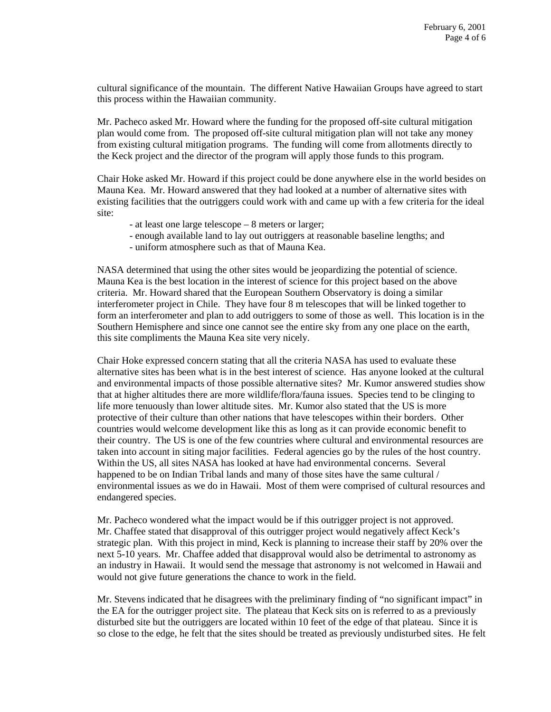cultural significance of the mountain. The different Native Hawaiian Groups have agreed to start this process within the Hawaiian community.

Mr. Pacheco asked Mr. Howard where the funding for the proposed off-site cultural mitigation plan would come from. The proposed off-site cultural mitigation plan will not take any money from existing cultural mitigation programs. The funding will come from allotments directly to the Keck project and the director of the program will apply those funds to this program.

Chair Hoke asked Mr. Howard if this project could be done anywhere else in the world besides on Mauna Kea. Mr. Howard answered that they had looked at a number of alternative sites with existing facilities that the outriggers could work with and came up with a few criteria for the ideal site:

- at least one large telescope 8 meters or larger;
- enough available land to lay out outriggers at reasonable baseline lengths; and
- uniform atmosphere such as that of Mauna Kea.

NASA determined that using the other sites would be jeopardizing the potential of science. Mauna Kea is the best location in the interest of science for this project based on the above criteria. Mr. Howard shared that the European Southern Observatory is doing a similar interferometer project in Chile. They have four 8 m telescopes that will be linked together to form an interferometer and plan to add outriggers to some of those as well. This location is in the Southern Hemisphere and since one cannot see the entire sky from any one place on the earth, this site compliments the Mauna Kea site very nicely.

Chair Hoke expressed concern stating that all the criteria NASA has used to evaluate these alternative sites has been what is in the best interest of science. Has anyone looked at the cultural and environmental impacts of those possible alternative sites? Mr. Kumor answered studies show that at higher altitudes there are more wildlife/flora/fauna issues. Species tend to be clinging to life more tenuously than lower altitude sites. Mr. Kumor also stated that the US is more protective of their culture than other nations that have telescopes within their borders. Other countries would welcome development like this as long as it can provide economic benefit to their country. The US is one of the few countries where cultural and environmental resources are taken into account in siting major facilities. Federal agencies go by the rules of the host country. Within the US, all sites NASA has looked at have had environmental concerns. Several happened to be on Indian Tribal lands and many of those sites have the same cultural / environmental issues as we do in Hawaii. Most of them were comprised of cultural resources and endangered species.

Mr. Pacheco wondered what the impact would be if this outrigger project is not approved. Mr. Chaffee stated that disapproval of this outrigger project would negatively affect Keck's strategic plan. With this project in mind, Keck is planning to increase their staff by 20% over the next 5-10 years. Mr. Chaffee added that disapproval would also be detrimental to astronomy as an industry in Hawaii. It would send the message that astronomy is not welcomed in Hawaii and would not give future generations the chance to work in the field.

Mr. Stevens indicated that he disagrees with the preliminary finding of "no significant impact" in the EA for the outrigger project site. The plateau that Keck sits on is referred to as a previously disturbed site but the outriggers are located within 10 feet of the edge of that plateau. Since it is so close to the edge, he felt that the sites should be treated as previously undisturbed sites. He felt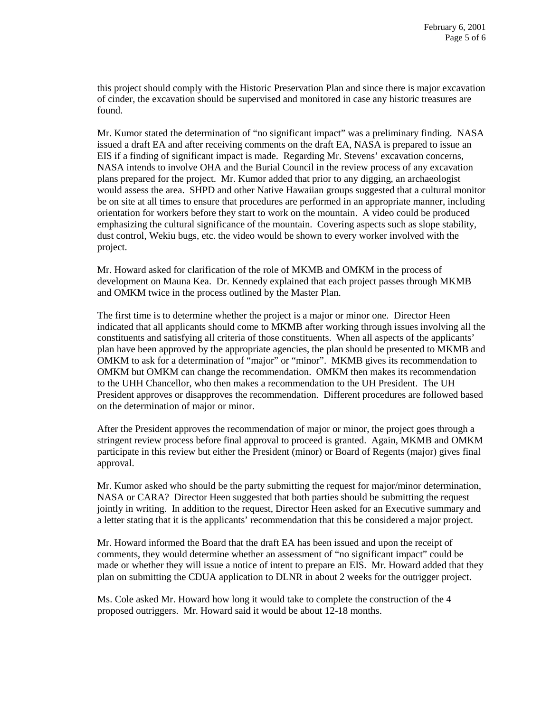this project should comply with the Historic Preservation Plan and since there is major excavation of cinder, the excavation should be supervised and monitored in case any historic treasures are found.

Mr. Kumor stated the determination of "no significant impact" was a preliminary finding. NASA issued a draft EA and after receiving comments on the draft EA, NASA is prepared to issue an EIS if a finding of significant impact is made. Regarding Mr. Stevens' excavation concerns, NASA intends to involve OHA and the Burial Council in the review process of any excavation plans prepared for the project. Mr. Kumor added that prior to any digging, an archaeologist would assess the area. SHPD and other Native Hawaiian groups suggested that a cultural monitor be on site at all times to ensure that procedures are performed in an appropriate manner, including orientation for workers before they start to work on the mountain. A video could be produced emphasizing the cultural significance of the mountain. Covering aspects such as slope stability, dust control, Wekiu bugs, etc. the video would be shown to every worker involved with the project.

Mr. Howard asked for clarification of the role of MKMB and OMKM in the process of development on Mauna Kea. Dr. Kennedy explained that each project passes through MKMB and OMKM twice in the process outlined by the Master Plan.

The first time is to determine whether the project is a major or minor one. Director Heen indicated that all applicants should come to MKMB after working through issues involving all the constituents and satisfying all criteria of those constituents. When all aspects of the applicants' plan have been approved by the appropriate agencies, the plan should be presented to MKMB and OMKM to ask for a determination of "major" or "minor". MKMB gives its recommendation to OMKM but OMKM can change the recommendation. OMKM then makes its recommendation to the UHH Chancellor, who then makes a recommendation to the UH President. The UH President approves or disapproves the recommendation. Different procedures are followed based on the determination of major or minor.

After the President approves the recommendation of major or minor, the project goes through a stringent review process before final approval to proceed is granted. Again, MKMB and OMKM participate in this review but either the President (minor) or Board of Regents (major) gives final approval.

Mr. Kumor asked who should be the party submitting the request for major/minor determination, NASA or CARA? Director Heen suggested that both parties should be submitting the request jointly in writing. In addition to the request, Director Heen asked for an Executive summary and a letter stating that it is the applicants' recommendation that this be considered a major project.

Mr. Howard informed the Board that the draft EA has been issued and upon the receipt of comments, they would determine whether an assessment of "no significant impact" could be made or whether they will issue a notice of intent to prepare an EIS. Mr. Howard added that they plan on submitting the CDUA application to DLNR in about 2 weeks for the outrigger project.

Ms. Cole asked Mr. Howard how long it would take to complete the construction of the 4 proposed outriggers. Mr. Howard said it would be about 12-18 months.